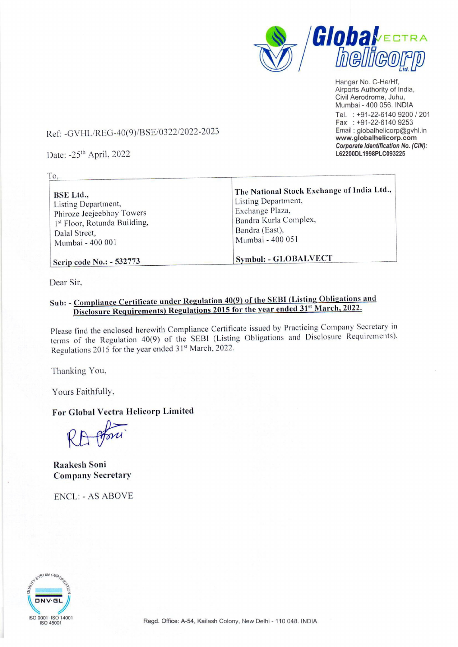

Hangar No. C-He/Hf, Airports Authority of India, Civil Aerodrome, Juhu, Mumbai - 400 056. INDIA Tel. : +91-22-6140 9200 / 201 Fax : +91-22-6140 9253 Email : globalhelicorp@gvhl.in www.globalhelicorp.com Corporate Identification No. (CIN): L62200DL1998PLC093225

## Ref: -GVHL/REG-40(9)/BSE/0322/2022-2023 -GVHL/REG-40(9)/BSE/0322/2022-2<br>2: -25<sup>th</sup> April, 2022

Date: -25" April, 2022

| 10.                                                                                                                                       |                                                                                                                                                     |
|-------------------------------------------------------------------------------------------------------------------------------------------|-----------------------------------------------------------------------------------------------------------------------------------------------------|
| <b>BSE</b> Ltd.,<br>Listing Department,<br>Phiroze Jeejeebhoy Towers<br>1st Floor, Rotunda Building,<br>Dalal Street,<br>Mumbai - 400 001 | The National Stock Exchange of India Ltd.,<br>Listing Department,<br>Exchange Plaza,<br>Bandra Kurla Complex,<br>Bandra (East),<br>Mumbai - 400 051 |
| Scrip code No.: - 532773                                                                                                                  | <b>Symbol: - GLOBALVECT</b>                                                                                                                         |

Dear Sir.

To.

## Sub: - Compliance Certificate under Regulation 40(9) of the SEBI (Listing Obligations and Disclosure Requirements) Regulations 2015 for the year ended 31" March, 2022.

Please find the enclosed herewith Compliance Certificate issued by Practicing Company Secretary in terms of the Regulation 40(9) of the SEBI (Listing Obligations and Disclosure Requirements), Regulations 2015 for the year ended 31<sup>st</sup> March, 2022.

Thanking You,

Yours Faithfully,

## For Global Vectra Helicorp Limited

Raakesh Soni Company Secretary

ENCL: - AS ABOVE